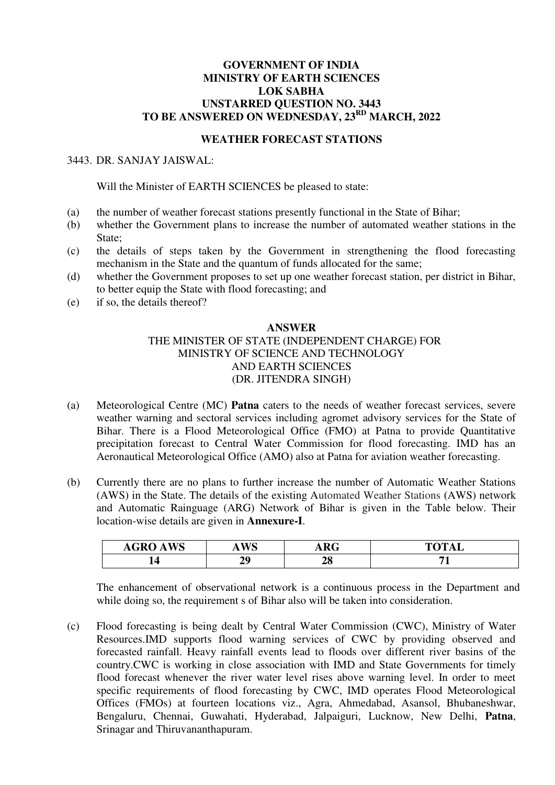### **GOVERNMENT OF INDIA MINISTRY OF EARTH SCIENCES LOK SABHA UNSTARRED QUESTION NO. 3443 TO BE ANSWERED ON WEDNESDAY, 23RD MARCH, 2022**

#### **WEATHER FORECAST STATIONS**

### 3443. DR. SANJAY JAISWAL:

Will the Minister of EARTH SCIENCES be pleased to state:

- (a) the number of weather forecast stations presently functional in the State of Bihar;
- (b) whether the Government plans to increase the number of automated weather stations in the State;
- (c) the details of steps taken by the Government in strengthening the flood forecasting mechanism in the State and the quantum of funds allocated for the same;
- (d) whether the Government proposes to set up one weather forecast station, per district in Bihar, to better equip the State with flood forecasting; and
- (e) if so, the details thereof?

#### **ANSWER**

### THE MINISTER OF STATE (INDEPENDENT CHARGE) FOR MINISTRY OF SCIENCE AND TECHNOLOGY AND EARTH SCIENCES (DR. JITENDRA SINGH)

- (a) Meteorological Centre (MC) **Patna** caters to the needs of weather forecast services, severe weather warning and sectoral services including agromet advisory services for the State of Bihar. There is a Flood Meteorological Office (FMO) at Patna to provide Quantitative precipitation forecast to Central Water Commission for flood forecasting. IMD has an Aeronautical Meteorological Office (AMO) also at Patna for aviation weather forecasting.
- (b) Currently there are no plans to further increase the number of Automatic Weather Stations (AWS) in the State. The details of the existing Automated Weather Stations **(**AWS) network and Automatic Rainguage (ARG) Network of Bihar is given in the Table below. Their location-wise details are given in **Annexure-I**.

| <b>TITO</b><br>$\sim$ $\sim$<br><b>AGRO</b><br>, , w. | <b>IX/C</b> | $\mathbf{D}\mathbf{C}$<br>ANU | <b>TOTAL</b><br>TAT |
|-------------------------------------------------------|-------------|-------------------------------|---------------------|
|                                                       | VΛ          | <b>00</b><br>40               |                     |

The enhancement of observational network is a continuous process in the Department and while doing so, the requirement s of Bihar also will be taken into consideration.

(c) Flood forecasting is being dealt by Central Water Commission (CWC), Ministry of Water Resources.IMD supports flood warning services of CWC by providing observed and forecasted rainfall. Heavy rainfall events lead to floods over different river basins of the country.CWC is working in close association with IMD and State Governments for timely flood forecast whenever the river water level rises above warning level. In order to meet specific requirements of flood forecasting by CWC, IMD operates Flood Meteorological Offices (FMOs) at fourteen locations viz., Agra, Ahmedabad, Asansol, Bhubaneshwar, Bengaluru, Chennai, Guwahati, Hyderabad, Jalpaiguri, Lucknow, New Delhi, **Patna**, Srinagar and Thiruvananthapuram.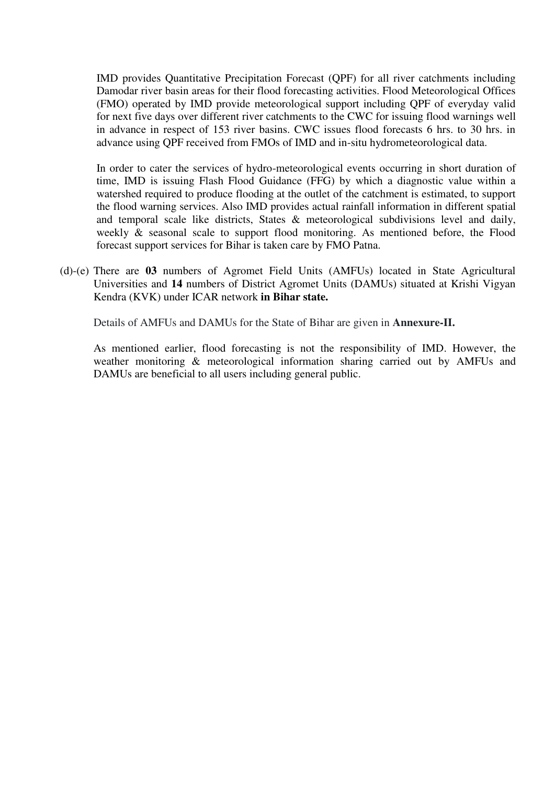IMD provides Quantitative Precipitation Forecast (QPF) for all river catchments including Damodar river basin areas for their flood forecasting activities. Flood Meteorological Offices (FMO) operated by IMD provide meteorological support including QPF of everyday valid for next five days over different river catchments to the CWC for issuing flood warnings well in advance in respect of 153 river basins. CWC issues flood forecasts 6 hrs. to 30 hrs. in advance using QPF received from FMOs of IMD and in-situ hydrometeorological data.

In order to cater the services of hydro-meteorological events occurring in short duration of time, IMD is issuing Flash Flood Guidance (FFG) by which a diagnostic value within a watershed required to produce flooding at the outlet of the catchment is estimated, to support the flood warning services. Also IMD provides actual rainfall information in different spatial and temporal scale like districts, States & meteorological subdivisions level and daily, weekly & seasonal scale to support flood monitoring. As mentioned before, the Flood forecast support services for Bihar is taken care by FMO Patna.

(d)-(e) There are **03** numbers of Agromet Field Units (AMFUs) located in State Agricultural Universities and **14** numbers of District Agromet Units (DAMUs) situated at Krishi Vigyan Kendra (KVK) under ICAR network **in Bihar state.** 

Details of AMFUs and DAMUs for the State of Bihar are given in **Annexure-II.**

As mentioned earlier, flood forecasting is not the responsibility of IMD. However, the weather monitoring & meteorological information sharing carried out by AMFUs and DAMUs are beneficial to all users including general public.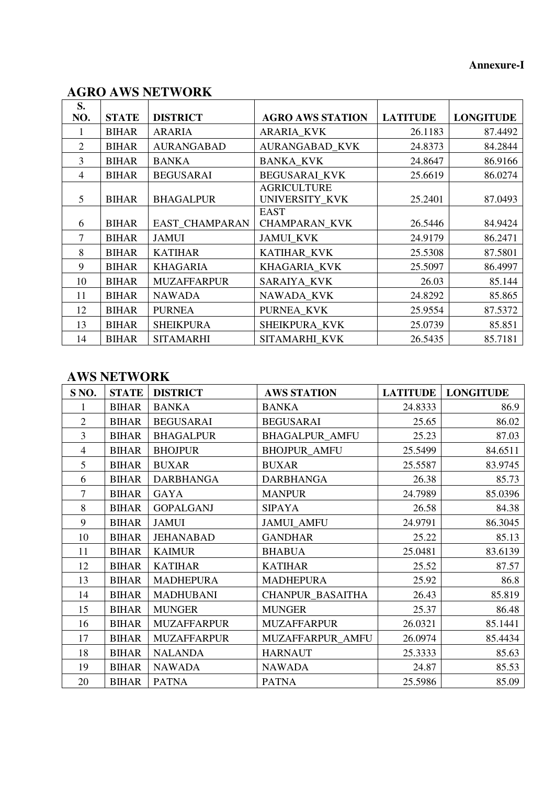### **Annexure-I**

# **AGRO AWS NETWORK**

| S.<br>NO.      | <b>STATE</b> | <b>DISTRICT</b>    | <b>AGRO AWS STATION</b>              | <b>LATITUDE</b> | <b>LONGITUDE</b> |
|----------------|--------------|--------------------|--------------------------------------|-----------------|------------------|
| 1              | <b>BIHAR</b> | <b>ARARIA</b>      | <b>ARARIA_KVK</b>                    | 26.1183         | 87.4492          |
| $\overline{2}$ | <b>BIHAR</b> | <b>AURANGABAD</b>  | <b>AURANGABAD_KVK</b>                | 24.8373         | 84.2844          |
| 3              | <b>BIHAR</b> | <b>BANKA</b>       | <b>BANKA KVK</b>                     | 24.8647         | 86.9166          |
| 4              | <b>BIHAR</b> | <b>BEGUSARAI</b>   | <b>BEGUSARAI KVK</b>                 | 25.6619         | 86.0274          |
| 5              | <b>BIHAR</b> | <b>BHAGALPUR</b>   | <b>AGRICULTURE</b><br>UNIVERSITY_KVK | 25.2401         | 87.0493          |
|                |              |                    | <b>EAST</b>                          |                 |                  |
| 6              | <b>BIHAR</b> | EAST_CHAMPARAN     | <b>CHAMPARAN_KVK</b>                 | 26.5446         | 84.9424          |
| $\tau$         | <b>BIHAR</b> | <b>JAMUI</b>       | <b>JAMUI KVK</b>                     | 24.9179         | 86.2471          |
| 8              | <b>BIHAR</b> | <b>KATIHAR</b>     | KATIHAR_KVK                          | 25.5308         | 87.5801          |
| 9              | <b>BIHAR</b> | <b>KHAGARIA</b>    | KHAGARIA_KVK                         | 25.5097         | 86.4997          |
| 10             | <b>BIHAR</b> | <b>MUZAFFARPUR</b> | <b>SARAIYA KVK</b>                   | 26.03           | 85.144           |
| 11             | <b>BIHAR</b> | <b>NAWADA</b>      | NAWADA KVK                           | 24.8292         | 85.865           |
| 12             | <b>BIHAR</b> | <b>PURNEA</b>      | PURNEA_KVK                           | 25.9554         | 87.5372          |
| 13             | <b>BIHAR</b> | <b>SHEIKPURA</b>   | SHEIKPURA KVK                        | 25.0739         | 85.851           |
| 14             | <b>BIHAR</b> | <b>SITAMARHI</b>   | SITAMARHI KVK                        | 26.5435         | 85.7181          |

# **AWS NETWORK**

| S <sub>NO</sub> . | <b>STATE</b> | <b>DISTRICT</b>    | <b>AWS STATION</b>    | <b>LATITUDE</b> | <b>LONGITUDE</b> |
|-------------------|--------------|--------------------|-----------------------|-----------------|------------------|
|                   | <b>BIHAR</b> | <b>BANKA</b>       | <b>BANKA</b>          | 24.8333         | 86.9             |
| $\overline{2}$    | <b>BIHAR</b> | <b>BEGUSARAI</b>   | <b>BEGUSARAI</b>      | 25.65           | 86.02            |
| 3                 | <b>BIHAR</b> | <b>BHAGALPUR</b>   | <b>BHAGALPUR_AMFU</b> | 25.23           | 87.03            |
| 4                 | <b>BIHAR</b> | <b>BHOJPUR</b>     | <b>BHOJPUR_AMFU</b>   | 25.5499         | 84.6511          |
| 5                 | <b>BIHAR</b> | <b>BUXAR</b>       | <b>BUXAR</b>          | 25.5587         | 83.9745          |
| 6                 | <b>BIHAR</b> | <b>DARBHANGA</b>   | <b>DARBHANGA</b>      | 26.38           | 85.73            |
| 7                 | <b>BIHAR</b> | <b>GAYA</b>        | <b>MANPUR</b>         | 24.7989         | 85.0396          |
| 8                 | <b>BIHAR</b> | <b>GOPALGANJ</b>   | <b>SIPAYA</b>         | 26.58           | 84.38            |
| 9                 | <b>BIHAR</b> | <b>JAMUI</b>       | <b>JAMUI_AMFU</b>     | 24.9791         | 86.3045          |
| 10                | <b>BIHAR</b> | <b>JEHANABAD</b>   | <b>GANDHAR</b>        | 25.22           | 85.13            |
| 11                | <b>BIHAR</b> | <b>KAIMUR</b>      | <b>BHABUA</b>         | 25.0481         | 83.6139          |
| 12                | <b>BIHAR</b> | <b>KATIHAR</b>     | <b>KATIHAR</b>        | 25.52           | 87.57            |
| 13                | <b>BIHAR</b> | <b>MADHEPURA</b>   | <b>MADHEPURA</b>      | 25.92           | 86.8             |
| 14                | <b>BIHAR</b> | <b>MADHUBANI</b>   | CHANPUR_BASAITHA      | 26.43           | 85.819           |
| 15                | <b>BIHAR</b> | <b>MUNGER</b>      | <b>MUNGER</b>         | 25.37           | 86.48            |
| 16                | <b>BIHAR</b> | <b>MUZAFFARPUR</b> | <b>MUZAFFARPUR</b>    | 26.0321         | 85.1441          |
| 17                | <b>BIHAR</b> | <b>MUZAFFARPUR</b> | MUZAFFARPUR_AMFU      | 26.0974         | 85.4434          |
| 18                | <b>BIHAR</b> | <b>NALANDA</b>     | <b>HARNAUT</b>        | 25.3333         | 85.63            |
| 19                | <b>BIHAR</b> | <b>NAWADA</b>      | <b>NAWADA</b>         | 24.87           | 85.53            |
| 20                | <b>BIHAR</b> | <b>PATNA</b>       | <b>PATNA</b>          | 25.5986         | 85.09            |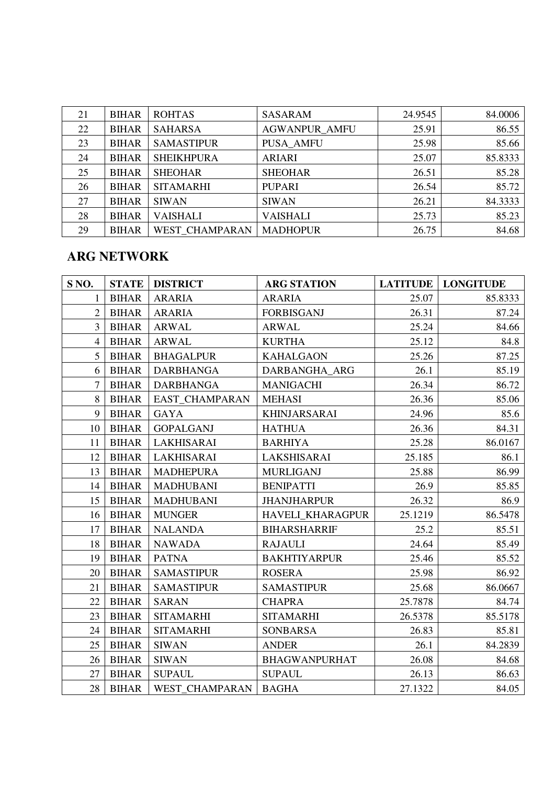| 21 | <b>BIHAR</b> | <b>ROHTAS</b>     | <b>SASARAM</b>       | 24.9545 | 84.0006 |
|----|--------------|-------------------|----------------------|---------|---------|
| 22 | <b>BIHAR</b> | <b>SAHARSA</b>    | <b>AGWANPUR AMFU</b> | 25.91   | 86.55   |
| 23 | <b>BIHAR</b> | <b>SAMASTIPUR</b> | <b>PUSA AMFU</b>     | 25.98   | 85.66   |
| 24 | <b>BIHAR</b> | <b>SHEIKHPURA</b> | <b>ARIARI</b>        | 25.07   | 85.8333 |
| 25 | <b>BIHAR</b> | <b>SHEOHAR</b>    | <b>SHEOHAR</b>       | 26.51   | 85.28   |
| 26 | <b>BIHAR</b> | <b>SITAMARHI</b>  | <b>PUPARI</b>        | 26.54   | 85.72   |
| 27 | <b>BIHAR</b> | <b>SIWAN</b>      | <b>SIWAN</b>         | 26.21   | 84.3333 |
| 28 | <b>BIHAR</b> | <b>VAISHALI</b>   | <b>VAISHALI</b>      | 25.73   | 85.23   |
| 29 | <b>BIHAR</b> | WEST CHAMPARAN    | <b>MADHOPUR</b>      | 26.75   | 84.68   |

# **ARG NETWORK**

| S <sub>NO</sub> . | <b>STATE</b> | <b>DISTRICT</b>       | <b>ARG STATION</b>      | <b>LATITUDE</b> | <b>LONGITUDE</b> |
|-------------------|--------------|-----------------------|-------------------------|-----------------|------------------|
| 1                 | <b>BIHAR</b> | <b>ARARIA</b>         | <b>ARARIA</b>           | 25.07           | 85.8333          |
| $\overline{2}$    | <b>BIHAR</b> | <b>ARARIA</b>         | <b>FORBISGANJ</b>       | 26.31           | 87.24            |
| 3                 | <b>BIHAR</b> | <b>ARWAL</b>          | <b>ARWAL</b>            | 25.24           | 84.66            |
| $\overline{4}$    | <b>BIHAR</b> | <b>ARWAL</b>          | <b>KURTHA</b>           | 25.12           | 84.8             |
| 5                 | <b>BIHAR</b> | <b>BHAGALPUR</b>      | <b>KAHALGAON</b>        | 25.26           | 87.25            |
| 6                 | <b>BIHAR</b> | <b>DARBHANGA</b>      | DARBANGHA ARG           | 26.1            | 85.19            |
| $\overline{7}$    | <b>BIHAR</b> | <b>DARBHANGA</b>      | <b>MANIGACHI</b>        | 26.34           | 86.72            |
| 8                 | <b>BIHAR</b> | <b>EAST CHAMPARAN</b> | <b>MEHASI</b>           | 26.36           | 85.06            |
| 9                 | <b>BIHAR</b> | <b>GAYA</b>           | <b>KHINJARSARAI</b>     | 24.96           | 85.6             |
| 10                | <b>BIHAR</b> | <b>GOPALGANJ</b>      | <b>HATHUA</b>           | 26.36           | 84.31            |
| 11                | <b>BIHAR</b> | LAKHISARAI            | <b>BARHIYA</b>          | 25.28           | 86.0167          |
| 12                | <b>BIHAR</b> | LAKHISARAI            | LAKSHISARAI             | 25.185          | 86.1             |
| 13                | <b>BIHAR</b> | <b>MADHEPURA</b>      | <b>MURLIGANJ</b>        | 25.88           | 86.99            |
| 14                | <b>BIHAR</b> | <b>MADHUBANI</b>      | <b>BENIPATTI</b>        | 26.9            | 85.85            |
| 15                | <b>BIHAR</b> | <b>MADHUBANI</b>      | <b>JHANJHARPUR</b>      | 26.32           | 86.9             |
| 16                | <b>BIHAR</b> | <b>MUNGER</b>         | <b>HAVELI KHARAGPUR</b> | 25.1219         | 86.5478          |
| 17                | <b>BIHAR</b> | <b>NALANDA</b>        | <b>BIHARSHARRIF</b>     | 25.2            | 85.51            |
| 18                | <b>BIHAR</b> | <b>NAWADA</b>         | <b>RAJAULI</b>          | 24.64           | 85.49            |
| 19                | <b>BIHAR</b> | <b>PATNA</b>          | <b>BAKHTIYARPUR</b>     | 25.46           | 85.52            |
| 20                | <b>BIHAR</b> | <b>SAMASTIPUR</b>     | <b>ROSERA</b>           | 25.98           | 86.92            |
| 21                | <b>BIHAR</b> | <b>SAMASTIPUR</b>     | <b>SAMASTIPUR</b>       | 25.68           | 86.0667          |
| 22                | <b>BIHAR</b> | <b>SARAN</b>          | <b>CHAPRA</b>           | 25.7878         | 84.74            |
| 23                | <b>BIHAR</b> | <b>SITAMARHI</b>      | <b>SITAMARHI</b>        | 26.5378         | 85.5178          |
| 24                | <b>BIHAR</b> | <b>SITAMARHI</b>      | <b>SONBARSA</b>         | 26.83           | 85.81            |
| 25                | <b>BIHAR</b> | <b>SIWAN</b>          | <b>ANDER</b>            | 26.1            | 84.2839          |
| 26                | <b>BIHAR</b> | <b>SIWAN</b>          | <b>BHAGWANPURHAT</b>    | 26.08           | 84.68            |
| 27                | <b>BIHAR</b> | <b>SUPAUL</b>         | <b>SUPAUL</b>           | 26.13           | 86.63            |
| 28                | <b>BIHAR</b> | WEST CHAMPARAN        | <b>BAGHA</b>            | 27.1322         | 84.05            |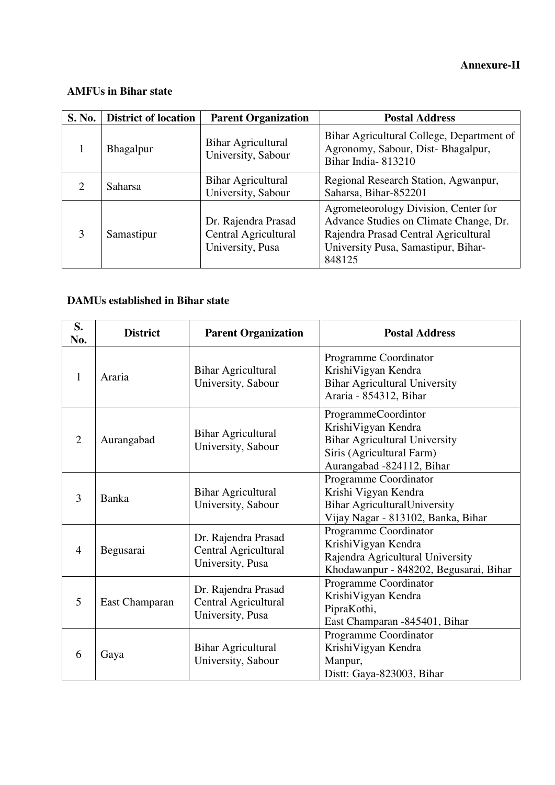## **AMFUs in Bihar state**

| S. No. | <b>District of location</b> | <b>Parent Organization</b>                                      | <b>Postal Address</b>                                                                                                                                                   |
|--------|-----------------------------|-----------------------------------------------------------------|-------------------------------------------------------------------------------------------------------------------------------------------------------------------------|
|        | Bhagalpur                   | <b>Bihar Agricultural</b><br>University, Sabour                 | Bihar Agricultural College, Department of<br>Agronomy, Sabour, Dist-Bhagalpur,<br>Bihar India-813210                                                                    |
| ∍      | Saharsa                     | <b>Bihar Agricultural</b><br>University, Sabour                 | Regional Research Station, Agwanpur,<br>Saharsa, Bihar-852201                                                                                                           |
| 3      | Samastipur                  | Dr. Rajendra Prasad<br>Central Agricultural<br>University, Pusa | Agrometeorology Division, Center for<br>Advance Studies on Climate Change, Dr.<br>Rajendra Prasad Central Agricultural<br>University Pusa, Samastipur, Bihar-<br>848125 |

### **DAMUs established in Bihar state**

| S.<br>No.      | <b>District</b> | <b>Parent Organization</b>                                      | <b>Postal Address</b>                                                                                                                        |
|----------------|-----------------|-----------------------------------------------------------------|----------------------------------------------------------------------------------------------------------------------------------------------|
| 1              | Araria          | <b>Bihar Agricultural</b><br>University, Sabour                 | Programme Coordinator<br>Krishi Vigyan Kendra<br><b>Bihar Agricultural University</b><br>Araria - 854312, Bihar                              |
| $\overline{2}$ | Aurangabad      | <b>Bihar Agricultural</b><br>University, Sabour                 | ProgrammeCoordintor<br>KrishiVigyan Kendra<br><b>Bihar Agricultural University</b><br>Siris (Agricultural Farm)<br>Aurangabad -824112, Bihar |
| 3              | <b>Banka</b>    | <b>Bihar Agricultural</b><br>University, Sabour                 | Programme Coordinator<br>Krishi Vigyan Kendra<br><b>Bihar AgriculturalUniversity</b><br>Vijay Nagar - 813102, Banka, Bihar                   |
| $\overline{4}$ | Begusarai       | Dr. Rajendra Prasad<br>Central Agricultural<br>University, Pusa | Programme Coordinator<br>KrishiVigyan Kendra<br>Rajendra Agricultural University<br>Khodawanpur - 848202, Begusarai, Bihar                   |
| 5              | East Champaran  | Dr. Rajendra Prasad<br>Central Agricultural<br>University, Pusa | Programme Coordinator<br>KrishiVigyan Kendra<br>PipraKothi,<br>East Champaran -845401, Bihar                                                 |
| 6              | Gaya            | <b>Bihar Agricultural</b><br>University, Sabour                 | Programme Coordinator<br>KrishiVigyan Kendra<br>Manpur,<br>Distt: Gaya-823003, Bihar                                                         |